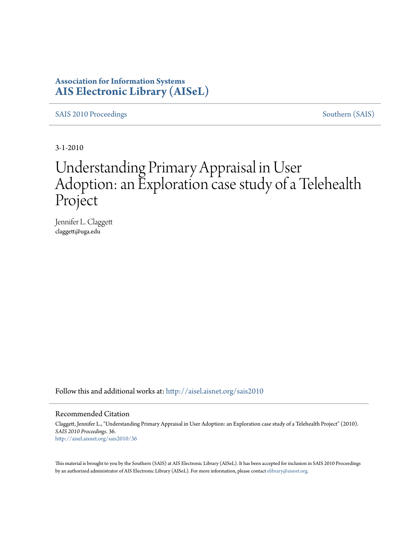## **Association for Information Systems [AIS Electronic Library \(AISeL\)](http://aisel.aisnet.org?utm_source=aisel.aisnet.org%2Fsais2010%2F36&utm_medium=PDF&utm_campaign=PDFCoverPages)**

[SAIS 2010 Proceedings](http://aisel.aisnet.org/sais2010?utm_source=aisel.aisnet.org%2Fsais2010%2F36&utm_medium=PDF&utm_campaign=PDFCoverPages) [Southern \(SAIS\)](http://aisel.aisnet.org/sais?utm_source=aisel.aisnet.org%2Fsais2010%2F36&utm_medium=PDF&utm_campaign=PDFCoverPages)

3-1-2010

# Understanding Primary Appraisal in User Adoption: an Exploration case study of a Telehealth Project

Jennifer L. Claggett claggett@uga.edu

Follow this and additional works at: [http://aisel.aisnet.org/sais2010](http://aisel.aisnet.org/sais2010?utm_source=aisel.aisnet.org%2Fsais2010%2F36&utm_medium=PDF&utm_campaign=PDFCoverPages)

#### Recommended Citation

Claggett, Jennifer L., "Understanding Primary Appraisal in User Adoption: an Exploration case study of a Telehealth Project" (2010). *SAIS 2010 Proceedings*. 36. [http://aisel.aisnet.org/sais2010/36](http://aisel.aisnet.org/sais2010/36?utm_source=aisel.aisnet.org%2Fsais2010%2F36&utm_medium=PDF&utm_campaign=PDFCoverPages)

This material is brought to you by the Southern (SAIS) at AIS Electronic Library (AISeL). It has been accepted for inclusion in SAIS 2010 Proceedings by an authorized administrator of AIS Electronic Library (AISeL). For more information, please contact [elibrary@aisnet.org](mailto:elibrary@aisnet.org%3E).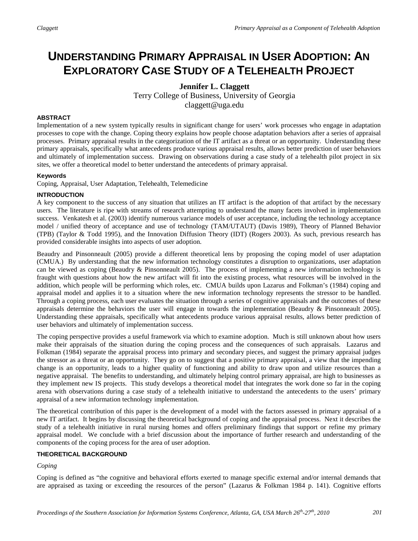# **UNDERSTANDING PRIMARY APPRAISAL IN USER ADOPTION: AN EXPLORATORY CASE STUDY OF A TELEHEALTH PROJECT**

### **Jennifer L. Claggett** Terry College of Business, University of Georgia claggett@uga.edu

#### **ABSTRACT**

Implementation of a new system typically results in significant change for users' work processes who engage in adaptation processes to cope with the change. Coping theory explains how people choose adaptation behaviors after a series of appraisal processes. Primary appraisal results in the categorization of the IT artifact as a threat or an opportunity. Understanding these primary appraisals, specifically what antecedents produce various appraisal results, allows better prediction of user behaviors and ultimately of implementation success. Drawing on observations during a case study of a telehealth pilot project in six sites, we offer a theoretical model to better understand the antecedents of primary appraisal.

#### **Keywords**

Coping, Appraisal, User Adaptation, Telehealth, Telemedicine

#### **INTRODUCTION**

A key component to the success of any situation that utilizes an IT artifact is the adoption of that artifact by the necessary users. The literature is ripe with streams of research attempting to understand the many facets involved in implementation success. Venkatesh et al. (2003) identify numerous variance models of user acceptance, including the technology acceptance model / unified theory of acceptance and use of technology (TAM/UTAUT) (Davis 1989), Theory of Planned Behavior (TPB) (Taylor & Todd 1995), and the Innovation Diffusion Theory (IDT) (Rogers 2003). As such, previous research has provided considerable insights into aspects of user adoption.

Beaudry and Pinsonneault (2005) provide a different theoretical lens by proposing the coping model of user adaptation (CMUA.) By understanding that the new information technology constitutes a disruption to organizations, user adaptation can be viewed as coping (Beaudry & Pinsonneault 2005). The process of implementing a new information technology is fraught with questions about how the new artifact will fit into the existing process, what resources will be involved in the addition, which people will be performing which roles, etc. CMUA builds upon Lazarus and Folkman's (1984) coping and appraisal model and applies it to a situation where the new information technology represents the stressor to be handled. Through a coping process, each user evaluates the situation through a series of cognitive appraisals and the outcomes of these appraisals determine the behaviors the user will engage in towards the implementation (Beaudry & Pinsonneault 2005). Understanding these appraisals, specifically what antecedents produce various appraisal results, allows better prediction of user behaviors and ultimately of implementation success.

The coping perspective provides a useful framework via which to examine adoption. Much is still unknown about how users make their appraisals of the situation during the coping process and the consequences of such appraisals. Lazarus and Folkman (1984) separate the appraisal process into primary and secondary pieces, and suggest the primary appraisal judges the stressor as a threat or an opportunity. They go on to suggest that a positive primary appraisal, a view that the impending change is an opportunity, leads to a higher quality of functioning and ability to draw upon and utilize resources than a negative appraisal. The benefits to understanding, and ultimately helping control primary appraisal, are high to businesses as they implement new IS projects. This study develops a theoretical model that integrates the work done so far in the coping arena with observations during a case study of a telehealth initiative to understand the antecedents to the users' primary appraisal of a new information technology implementation.

The theoretical contribution of this paper is the development of a model with the factors assessed in primary appraisal of a new IT artifact. It begins by discussing the theoretical background of coping and the appraisal process. Next it describes the study of a telehealth initiative in rural nursing homes and offers preliminary findings that support or refine my primary appraisal model. We conclude with a brief discussion about the importance of further research and understanding of the components of the coping process for the area of user adoption.

#### **THEORETICAL BACKGROUND**

#### *Coping*

Coping is defined as "the cognitive and behavioral efforts exerted to manage specific external and/or internal demands that are appraised as taxing or exceeding the resources of the person" (Lazarus & Folkman 1984 p. 141). Cognitive efforts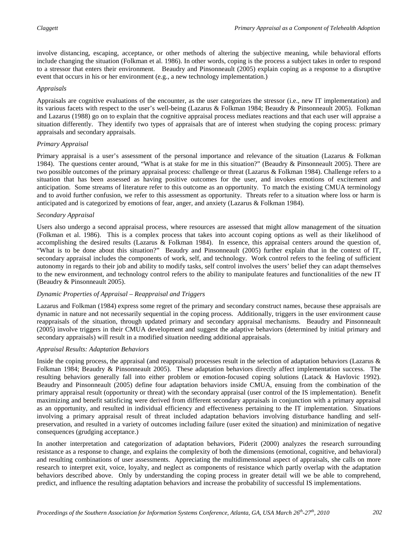involve distancing, escaping, acceptance, or other methods of altering the subjective meaning, while behavioral efforts include changing the situation (Folkman et al. 1986). In other words, coping is the process a subject takes in order to respond to a stressor that enters their environment. Beaudry and Pinsonneault (2005) explain coping as a response to a disruptive event that occurs in his or her environment (e.g., a new technology implementation.)

#### *Appraisals*

Appraisals are cognitive evaluations of the encounter, as the user categorizes the stressor (i.e., new IT implementation) and its various facets with respect to the user's well-being (Lazarus & Folkman 1984; Beaudry & Pinsonneault 2005). Folkman and Lazarus (1988) go on to explain that the cognitive appraisal process mediates reactions and that each user will appraise a situation differently. They identify two types of appraisals that are of interest when studying the coping process: primary appraisals and secondary appraisals.

#### *Primary Appraisal*

Primary appraisal is a user's assessment of the personal importance and relevance of the situation (Lazarus & Folkman 1984). The questions center around, "What is at stake for me in this situation?" (Beaudry & Pinsonneault 2005). There are two possible outcomes of the primary appraisal process: challenge or threat (Lazarus & Folkman 1984). Challenge refers to a situation that has been assessed as having positive outcomes for the user, and invokes emotions of excitement and anticipation. Some streams of literature refer to this outcome as an opportunity. To match the existing CMUA terminology and to avoid further confusion, we refer to this assessment as opportunity. Threats refer to a situation where loss or harm is anticipated and is categorized by emotions of fear, anger, and anxiety (Lazarus & Folkman 1984).

#### *Secondary Appraisal*

Users also undergo a second appraisal process, where resources are assessed that might allow management of the situation (Folkman et al. 1986). This is a complex process that takes into account coping options as well as their likelihood of accomplishing the desired results (Lazarus & Folkman 1984). In essence, this appraisal centers around the question of, "What is to be done about this situation?" Beaudry and Pinsonneault (2005) further explain that in the context of IT, secondary appraisal includes the components of work, self, and technology. Work control refers to the feeling of sufficient autonomy in regards to their job and ability to modify tasks, self control involves the users' belief they can adapt themselves to the new environment, and technology control refers to the ability to manipulate features and functionalities of the new IT (Beaudry & Pinsonneault 2005).

#### *Dynamic Properties of Appraisal – Reappraisal and Triggers*

Lazarus and Folkman (1984) express some regret of the primary and secondary construct names, because these appraisals are dynamic in nature and not necessarily sequential in the coping process. Additionally, triggers in the user environment cause reappraisals of the situation, through updated primary and secondary appraisal mechanisms. Beaudry and Pinsonneault (2005) involve triggers in their CMUA development and suggest the adaptive behaviors (determined by initial primary and secondary appraisals) will result in a modified situation needing additional appraisals.

#### *Appraisal Results: Adaptation Behaviors*

Inside the coping process, the appraisal (and reappraisal) processes result in the selection of adaptation behaviors (Lazarus & Folkman 1984; Beaudry & Pinsonneault 2005). These adaptation behaviors directly affect implementation success. The resulting behaviors generally fall into either problem or emotion-focused coping solutions (Latack & Havlovic 1992). Beaudry and Pinsonneault (2005) define four adaptation behaviors inside CMUA, ensuing from the combination of the primary appraisal result (opportunity or threat) with the secondary appraisal (user control of the IS implementation). Benefit maximizing and benefit satisficing were derived from different secondary appraisals in conjunction with a primary appraisal as an opportunity, and resulted in individual efficiency and effectiveness pertaining to the IT implementation. Situations involving a primary appraisal result of threat included adaptation behaviors involving disturbance handling and selfpreservation, and resulted in a variety of outcomes including failure (user exited the situation) and minimization of negative consequences (grudging acceptance.)

In another interpretation and categorization of adaptation behaviors, Piderit (2000) analyzes the research surrounding resistance as a response to change, and explains the complexity of both the dimensions (emotional, cognitive, and behavioral) and resulting combinations of user assessments. Appreciating the multidimensional aspect of appraisals, she calls on more research to interpret exit, voice, loyalty, and neglect as components of resistance which partly overlap with the adaptation behaviors described above. Only by understanding the coping process in greater detail will we be able to comprehend, predict, and influence the resulting adaptation behaviors and increase the probability of successful IS implementations.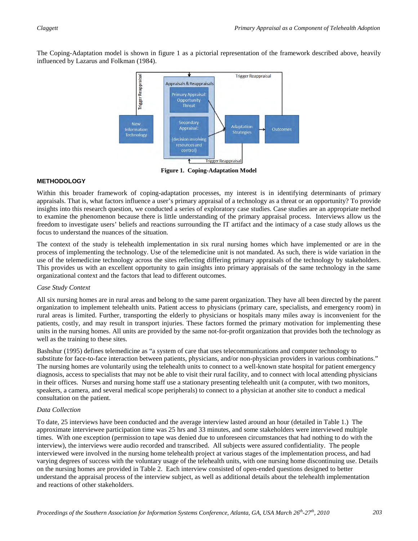The Coping-Adaptation model is shown in figure 1 as a pictorial representation of the framework described above, heavily influenced by Lazarus and Folkman (1984).



**Figure 1. Coping-Adaptation Model**

#### **METHODOLOGY**

Within this broader framework of coping-adaptation processes, my interest is in identifying determinants of primary appraisals. That is, what factors influence a user's primary appraisal of a technology as a threat or an opportunity? To provide insights into this research question, we conducted a series of exploratory case studies. Case studies are an appropriate method to examine the phenomenon because there is little understanding of the primary appraisal process. Interviews allow us the freedom to investigate users' beliefs and reactions surrounding the IT artifact and the intimacy of a case study allows us the focus to understand the nuances of the situation.

The context of the study is telehealth implementation in six rural nursing homes which have implemented or are in the process of implementing the technology. Use of the telemedicine unit is not mandated. As such, there is wide variation in the use of the telemedicine technology across the sites reflecting differing primary appraisals of the technology by stakeholders. This provides us with an excellent opportunity to gain insights into primary appraisals of the same technology in the same organizational context and the factors that lead to different outcomes.

#### *Case Study Context*

All six nursing homes are in rural areas and belong to the same parent organization. They have all been directed by the parent organization to implement telehealth units. Patient access to physicians (primary care, specialists, and emergency room) in rural areas is limited. Further, transporting the elderly to physicians or hospitals many miles away is inconvenient for the patients, costly, and may result in transport injuries. These factors formed the primary motivation for implementing these units in the nursing homes. All units are provided by the same not-for-profit organization that provides both the technology as well as the training to these sites.

Bashshur (1995) defines telemedicine as "a system of care that uses telecommunications and computer technology to substitute for face-to-face interaction between patients, physicians, and/or non-physician providers in various combinations." The nursing homes are voluntarily using the telehealth units to connect to a well-known state hospital for patient emergency diagnosis, access to specialists that may not be able to visit their rural facility, and to connect with local attending physicians in their offices. Nurses and nursing home staff use a stationary presenting telehealth unit (a computer, with two monitors, speakers, a camera, and several medical scope peripherals) to connect to a physician at another site to conduct a medical consultation on the patient.

#### *Data Collection*

To date, 25 interviews have been conducted and the average interview lasted around an hour (detailed in Table 1.) The approximate interviewee participation time was 25 hrs and 33 minutes, and some stakeholders were interviewed multiple times. With one exception (permission to tape was denied due to unforeseen circumstances that had nothing to do with the interview), the interviews were audio recorded and transcribed. All subjects were assured confidentiality. The people interviewed were involved in the nursing home telehealth project at various stages of the implementation process, and had varying degrees of success with the voluntary usage of the telehealth units, with one nursing home discontinuing use. Details on the nursing homes are provided in Table 2. Each interview consisted of open-ended questions designed to better understand the appraisal process of the interview subject, as well as additional details about the telehealth implementation and reactions of other stakeholders.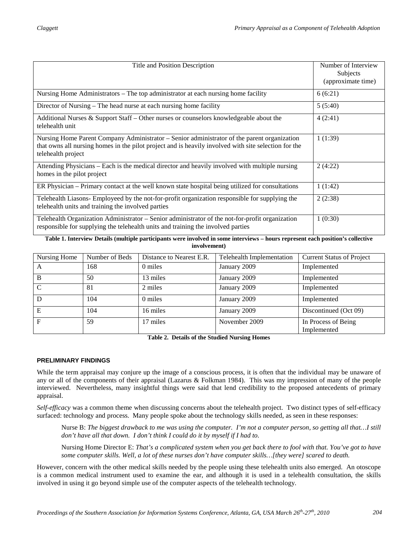| Title and Position Description                                                                                                                                                                                            | Number of Interview<br>Subjects<br>(approximate time) |
|---------------------------------------------------------------------------------------------------------------------------------------------------------------------------------------------------------------------------|-------------------------------------------------------|
| Nursing Home Administrators – The top administrator at each nursing home facility                                                                                                                                         | 6(6:21)                                               |
| Director of Nursing – The head nurse at each nursing home facility                                                                                                                                                        | 5(5:40)                                               |
| Additional Nurses $\&$ Support Staff – Other nurses or counselors knowledgeable about the<br>telehealth unit                                                                                                              | 4(2:41)                                               |
| Nursing Home Parent Company Administrator – Senior administrator of the parent organization<br>that owns all nursing homes in the pilot project and is heavily involved with site selection for the<br>telehealth project | 1(1:39)                                               |
| Attending Physicians – Each is the medical director and heavily involved with multiple nursing<br>homes in the pilot project                                                                                              | 2(4:22)                                               |
| ER Physician – Primary contact at the well known state hospital being utilized for consultations                                                                                                                          | 1(1:42)                                               |
| Telehealth Liasons- Employeed by the not-for-profit organization responsible for supplying the<br>telehealth units and training the involved parties                                                                      | 2(2:38)                                               |
| Telehealth Organization Administrator - Senior administrator of the not-for-profit organization<br>responsible for supplying the telehealth units and training the involved parties                                       | 1(0:30)                                               |

#### **Table 1. Interview Details (multiple participants were involved in some interviews – hours represent each position's collective involvement)**

| Nursing Home | Number of Beds | Distance to Nearest E.R. | Telehealth Implementation | <b>Current Status of Project</b>   |
|--------------|----------------|--------------------------|---------------------------|------------------------------------|
| A            | 168            | 0 miles                  | January 2009              | Implemented                        |
| B            | 50             | 13 miles                 | January 2009              | Implemented                        |
| C            | 81             | 2 miles                  | January 2009              | Implemented                        |
| D            | 104            | 0 miles                  | January 2009              | Implemented                        |
| Е            | 104            | 16 miles                 | January 2009              | Discontinued (Oct 09)              |
| F            | 59             | 17 miles                 | November 2009             | In Process of Being<br>Implemented |

**Table 2. Details of the Studied Nursing Homes**

#### **PRELIMINARY FINDINGS**

While the term appraisal may conjure up the image of a conscious process, it is often that the individual may be unaware of any or all of the components of their appraisal (Lazarus & Folkman 1984). This was my impression of many of the people interviewed. Nevertheless, many insightful things were said that lend credibility to the proposed antecedents of primary appraisal.

*Self-efficacy* was a common theme when discussing concerns about the telehealth project. Two distinct types of self-efficacy surfaced: technology and process. Many people spoke about the technology skills needed, as seen in these responses:

Nurse B: *The biggest drawback to me was using the computer. I'm not a computer person, so getting all that…I still don't have all that down. I don't think I could do it by myself if I had to.*

Nursing Home Director E: *That's a complicated system when you get back there to fool with that. You've got to have some computer skills. Well, a lot of these nurses don't have computer skills…[they were] scared to death.*

However, concern with the other medical skills needed by the people using these telehealth units also emerged. An otoscope is a common medical instrument used to examine the ear, and although it is used in a telehealth consultation, the skills involved in using it go beyond simple use of the computer aspects of the telehealth technology.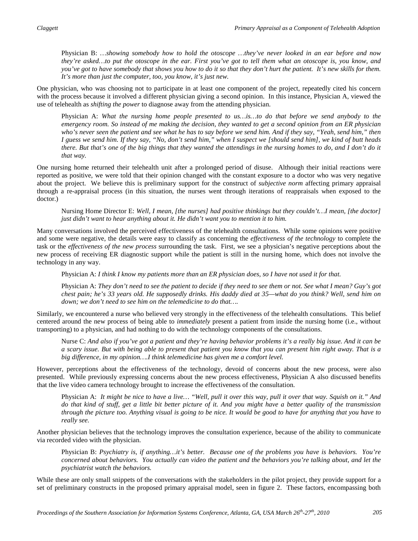Physician B: *…showing somebody how to hold the otoscope …they've never looked in an ear before and now they're asked…to put the otoscope in the ear. First you've got to tell them what an otoscope is, you know, and you've got to have somebody that shows you how to do it so that they don't hurt the patient. It's new skills for them. It's more than just the computer, too, you know, it's just new.*

One physician, who was choosing not to participate in at least one component of the project, repeatedly cited his concern with the process because it involved a different physician giving a second opinion. In this instance, Physician A, viewed the use of telehealth as *shifting the power* to diagnose away from the attending physician.

Physician A: *What the nursing home people presented to us…is…to do that before we send anybody to the emergency room. So instead of me making the decision, they wanted to get a second opinion from an ER physician who's never seen the patient and see what he has to say before we send him. And if they say, "Yeah, send him," then I guess we send him. If they say, "No, don't send him," when I suspect we [should send him], we kind of butt heads there. But that's one of the big things that they wanted the attendings in the nursing homes to do, and I don't do it that way.* 

One nursing home returned their telehealth unit after a prolonged period of disuse. Although their initial reactions were reported as positive, we were told that their opinion changed with the constant exposure to a doctor who was very negative about the project. We believe this is preliminary support for the construct of *subjective norm* affecting primary appraisal through a re-appraisal process (in this situation, the nurses went through iterations of reappraisals when exposed to the doctor.)

Nursing Home Director E: *Well, I mean, [the nurses] had positive thinkings but they couldn't…I mean, [the doctor] just didn't want to hear anything about it. He didn't want you to mention it to him.*

Many conversations involved the perceived effectiveness of the telehealth consultations. While some opinions were positive and some were negative, the details were easy to classify as concerning the *effectiveness of the technology* to complete the task or the *effectiveness of the new process* surrounding the task. First, we see a physician's negative perceptions about the new process of receiving ER diagnostic support while the patient is still in the nursing home, which does not involve the technology in any way.

Physician A: *I think I know my patients more than an ER physician does, so I have not used it for that.*

Physician A: *They don't need to see the patient to decide if they need to see them or not. See what I mean? Guy's got chest pain; he's 33 years old. He supposedly drinks. His daddy died at 35—what do you think? Well, send him on down; we don't need to see him on the telemedicine to do that….*

Similarly, we encountered a nurse who believed very strongly in the effectiveness of the telehealth consultations. This belief centered around the new process of being able to *immediately* present a patient from inside the nursing home (i.e., without transporting) to a physician, and had nothing to do with the technology components of the consultations.

Nurse C: *And also if you've got a patient and they're having behavior problems it's a really big issue. And it can be a scary issue. But with being able to present that patient you know that you can present him right away. That is a big difference, in my opinion….I think telemedicine has given me a comfort level.*

However, perceptions about the effectiveness of the technology, devoid of concerns about the new process, were also presented. While previously expressing concerns about the new process effectiveness, Physician A also discussed benefits that the live video camera technology brought to increase the effectiveness of the consultation.

Physician A: *It might be nice to have a live… "Well, pull it over this way, pull it over that way. Squish on it." And do that kind of stuff, get a little bit better picture of it. And you might have a better quality of the transmission through the picture too. Anything visual is going to be nice. It would be good to have for anything that you have to really see.*

Another physician believes that the technology improves the consultation experience, because of the ability to communicate via recorded video with the physician.

Physician B: *Psychiatry is, if anything…it's better. Because one of the problems you have is behaviors. You're concerned about behaviors. You actually can video the patient and the behaviors you're talking about, and let the psychiatrist watch the behaviors.*

While these are only small snippets of the conversations with the stakeholders in the pilot project, they provide support for a set of preliminary constructs in the proposed primary appraisal model, seen in figure 2. These factors, encompassing both